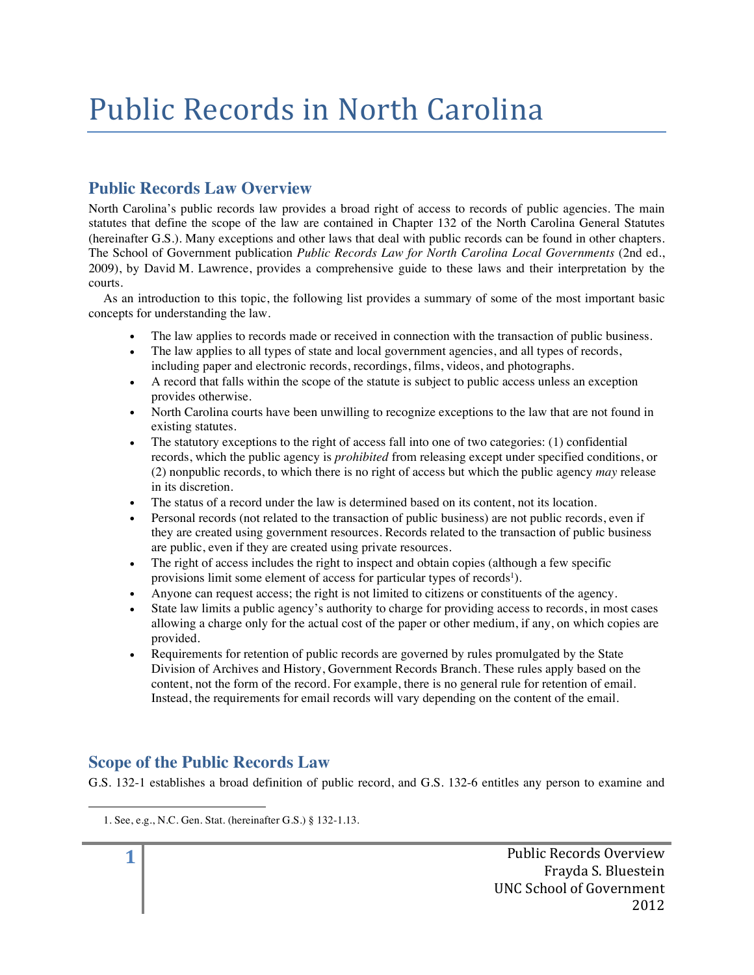# Public Records in North Carolina

# **Public Records Law Overview**

North Carolina's public records law provides a broad right of access to records of public agencies. The main statutes that define the scope of the law are contained in Chapter 132 of the North Carolina General Statutes (hereinafter G.S.). Many exceptions and other laws that deal with public records can be found in other chapters. The School of Government publication *Public Records Law for North Carolina Local Governments* (2nd ed., 2009), by David M. Lawrence, provides a comprehensive guide to these laws and their interpretation by the courts.

As an introduction to this topic, the following list provides a summary of some of the most important basic concepts for understanding the law.

- The law applies to records made or received in connection with the transaction of public business.
- The law applies to all types of state and local government agencies, and all types of records, including paper and electronic records, recordings, films, videos, and photographs.
- A record that falls within the scope of the statute is subject to public access unless an exception provides otherwise.
- North Carolina courts have been unwilling to recognize exceptions to the law that are not found in existing statutes.
- The statutory exceptions to the right of access fall into one of two categories: (1) confidential records, which the public agency is *prohibited* from releasing except under specified conditions, or (2) nonpublic records, to which there is no right of access but which the public agency *may* release in its discretion.
- The status of a record under the law is determined based on its content, not its location.
- Personal records (not related to the transaction of public business) are not public records, even if they are created using government resources. Records related to the transaction of public business are public, even if they are created using private resources.
- The right of access includes the right to inspect and obtain copies (although a few specific provisions limit some element of access for particular types of records<sup>1</sup>).
- Anyone can request access; the right is not limited to citizens or constituents of the agency.
- State law limits a public agency's authority to charge for providing access to records, in most cases allowing a charge only for the actual cost of the paper or other medium, if any, on which copies are provided.
- Requirements for retention of public records are governed by rules promulgated by the State Division of Archives and History, Government Records Branch. These rules apply based on the content, not the form of the record. For example, there is no general rule for retention of email. Instead, the requirements for email records will vary depending on the content of the email.

# **Scope of the Public Records Law**

 

G.S. 132-1 establishes a broad definition of public record, and G.S. 132-6 entitles any person to examine and

**1** Public Records Overview Frayda S. Bluestein UNC School of Government 2012

<sup>1.</sup> See, e.g., N.C. Gen. Stat. (hereinafter G.S.) § 132-1.13.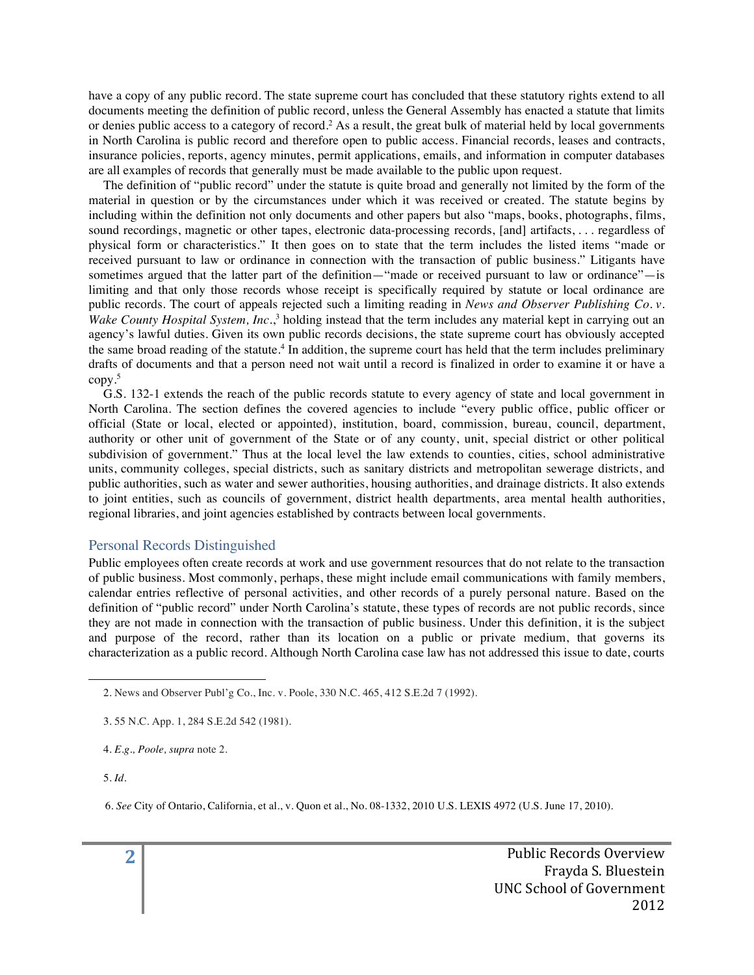have a copy of any public record. The state supreme court has concluded that these statutory rights extend to all documents meeting the definition of public record, unless the General Assembly has enacted a statute that limits or denies public access to a category of record.2 As a result, the great bulk of material held by local governments in North Carolina is public record and therefore open to public access. Financial records, leases and contracts, insurance policies, reports, agency minutes, permit applications, emails, and information in computer databases are all examples of records that generally must be made available to the public upon request.

The definition of "public record" under the statute is quite broad and generally not limited by the form of the material in question or by the circumstances under which it was received or created. The statute begins by including within the definition not only documents and other papers but also "maps, books, photographs, films, sound recordings, magnetic or other tapes, electronic data-processing records, [and] artifacts, . . . regardless of physical form or characteristics." It then goes on to state that the term includes the listed items "made or received pursuant to law or ordinance in connection with the transaction of public business." Litigants have sometimes argued that the latter part of the definition—"made or received pursuant to law or ordinance"—is limiting and that only those records whose receipt is specifically required by statute or local ordinance are public records. The court of appeals rejected such a limiting reading in *News and Observer Publishing Co. v. Wake County Hospital System, Inc.*, <sup>3</sup> holding instead that the term includes any material kept in carrying out an agency's lawful duties. Given its own public records decisions, the state supreme court has obviously accepted the same broad reading of the statute.4 In addition, the supreme court has held that the term includes preliminary drafts of documents and that a person need not wait until a record is finalized in order to examine it or have a copy.5

G.S. 132-1 extends the reach of the public records statute to every agency of state and local government in North Carolina. The section defines the covered agencies to include "every public office, public officer or official (State or local, elected or appointed), institution, board, commission, bureau, council, department, authority or other unit of government of the State or of any county, unit, special district or other political subdivision of government." Thus at the local level the law extends to counties, cities, school administrative units, community colleges, special districts, such as sanitary districts and metropolitan sewerage districts, and public authorities, such as water and sewer authorities, housing authorities, and drainage districts. It also extends to joint entities, such as councils of government, district health departments, area mental health authorities, regional libraries, and joint agencies established by contracts between local governments.

#### Personal Records Distinguished

Public employees often create records at work and use government resources that do not relate to the transaction of public business. Most commonly, perhaps, these might include email communications with family members, calendar entries reflective of personal activities, and other records of a purely personal nature. Based on the definition of "public record" under North Carolina's statute, these types of records are not public records, since they are not made in connection with the transaction of public business. Under this definition, it is the subject and purpose of the record, rather than its location on a public or private medium, that governs its characterization as a public record. Although North Carolina case law has not addressed this issue to date, courts

 

4. *E.g., Poole, supra* note 2.

5. *Id*.

<sup>2.</sup> News and Observer Publ'g Co., Inc. v. Poole, 330 N.C. 465, 412 S.E.2d 7 (1992).

<sup>3. 55</sup> N.C. App. 1, 284 S.E.2d 542 (1981).

<sup>6.</sup> *See* City of Ontario, California, et al., v. Quon et al., No. 08-1332, 2010 U.S. LEXIS 4972 (U.S. June 17, 2010).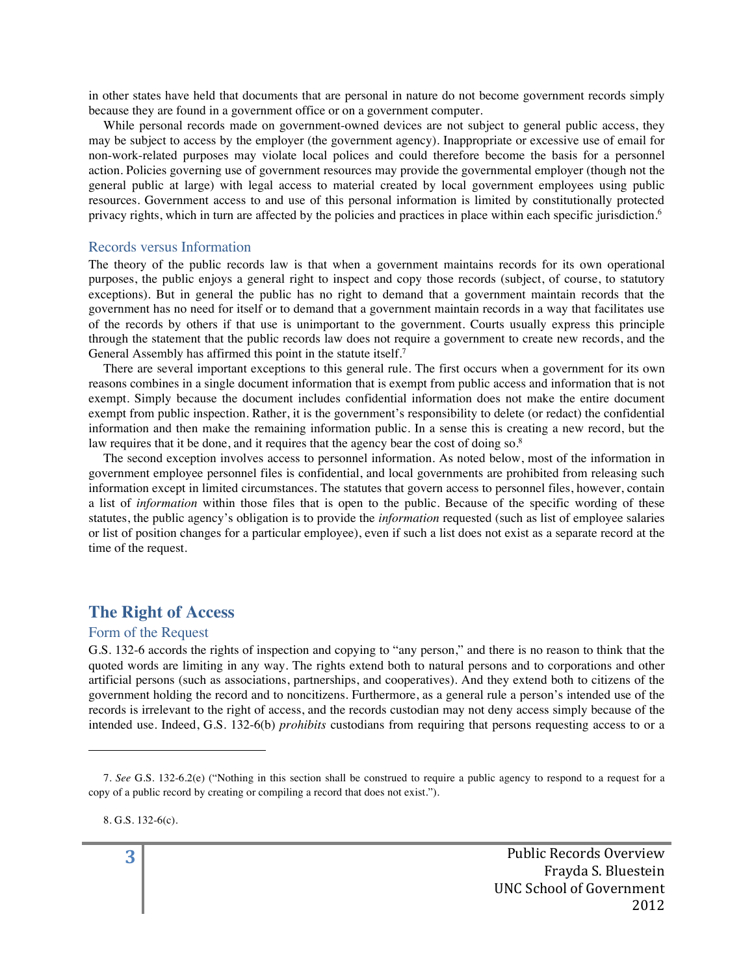in other states have held that documents that are personal in nature do not become government records simply because they are found in a government office or on a government computer.

While personal records made on government-owned devices are not subject to general public access, they may be subject to access by the employer (the government agency). Inappropriate or excessive use of email for non-work-related purposes may violate local polices and could therefore become the basis for a personnel action. Policies governing use of government resources may provide the governmental employer (though not the general public at large) with legal access to material created by local government employees using public resources. Government access to and use of this personal information is limited by constitutionally protected privacy rights, which in turn are affected by the policies and practices in place within each specific jurisdiction.6

#### Records versus Information

The theory of the public records law is that when a government maintains records for its own operational purposes, the public enjoys a general right to inspect and copy those records (subject, of course, to statutory exceptions). But in general the public has no right to demand that a government maintain records that the government has no need for itself or to demand that a government maintain records in a way that facilitates use of the records by others if that use is unimportant to the government. Courts usually express this principle through the statement that the public records law does not require a government to create new records, and the General Assembly has affirmed this point in the statute itself.7

There are several important exceptions to this general rule. The first occurs when a government for its own reasons combines in a single document information that is exempt from public access and information that is not exempt. Simply because the document includes confidential information does not make the entire document exempt from public inspection. Rather, it is the government's responsibility to delete (or redact) the confidential information and then make the remaining information public. In a sense this is creating a new record, but the law requires that it be done, and it requires that the agency bear the cost of doing so.<sup>8</sup>

The second exception involves access to personnel information. As noted below, most of the information in government employee personnel files is confidential, and local governments are prohibited from releasing such information except in limited circumstances. The statutes that govern access to personnel files, however, contain a list of *information* within those files that is open to the public. Because of the specific wording of these statutes, the public agency's obligation is to provide the *information* requested (such as list of employee salaries or list of position changes for a particular employee), even if such a list does not exist as a separate record at the time of the request.

## **The Right of Access**

 

#### Form of the Request

G.S. 132-6 accords the rights of inspection and copying to "any person," and there is no reason to think that the quoted words are limiting in any way. The rights extend both to natural persons and to corporations and other artificial persons (such as associations, partnerships, and cooperatives). And they extend both to citizens of the government holding the record and to noncitizens. Furthermore, as a general rule a person's intended use of the records is irrelevant to the right of access, and the records custodian may not deny access simply because of the intended use. Indeed, G.S. 132-6(b) *prohibits* custodians from requiring that persons requesting access to or a

8. G.S. 132-6(c).

<sup>7.</sup> *See* G.S. 132-6.2(e) ("Nothing in this section shall be construed to require a public agency to respond to a request for a copy of a public record by creating or compiling a record that does not exist.").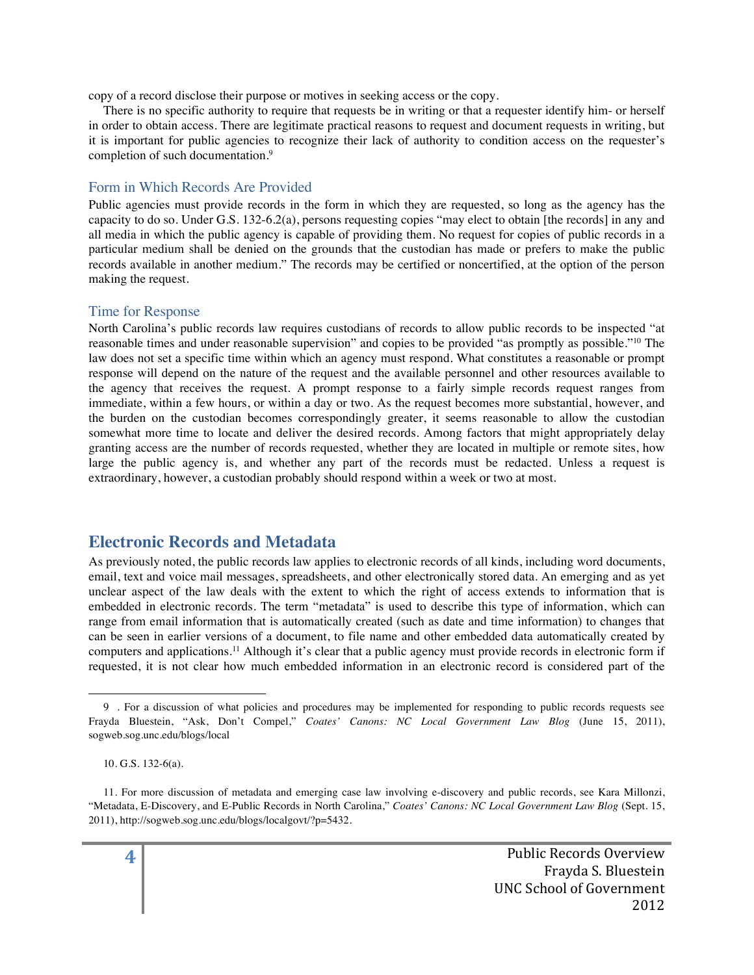copy of a record disclose their purpose or motives in seeking access or the copy.

There is no specific authority to require that requests be in writing or that a requester identify him- or herself in order to obtain access. There are legitimate practical reasons to request and document requests in writing, but it is important for public agencies to recognize their lack of authority to condition access on the requester's completion of such documentation.<sup>9</sup>

#### Form in Which Records Are Provided

Public agencies must provide records in the form in which they are requested, so long as the agency has the capacity to do so. Under G.S. 132-6.2(a), persons requesting copies "may elect to obtain [the records] in any and all media in which the public agency is capable of providing them. No request for copies of public records in a particular medium shall be denied on the grounds that the custodian has made or prefers to make the public records available in another medium." The records may be certified or noncertified, at the option of the person making the request.

#### Time for Response

North Carolina's public records law requires custodians of records to allow public records to be inspected "at reasonable times and under reasonable supervision" and copies to be provided "as promptly as possible."10 The law does not set a specific time within which an agency must respond. What constitutes a reasonable or prompt response will depend on the nature of the request and the available personnel and other resources available to the agency that receives the request. A prompt response to a fairly simple records request ranges from immediate, within a few hours, or within a day or two. As the request becomes more substantial, however, and the burden on the custodian becomes correspondingly greater, it seems reasonable to allow the custodian somewhat more time to locate and deliver the desired records. Among factors that might appropriately delay granting access are the number of records requested, whether they are located in multiple or remote sites, how large the public agency is, and whether any part of the records must be redacted. Unless a request is extraordinary, however, a custodian probably should respond within a week or two at most.

# **Electronic Records and Metadata**

As previously noted, the public records law applies to electronic records of all kinds, including word documents, email, text and voice mail messages, spreadsheets, and other electronically stored data. An emerging and as yet unclear aspect of the law deals with the extent to which the right of access extends to information that is embedded in electronic records. The term "metadata" is used to describe this type of information, which can range from email information that is automatically created (such as date and time information) to changes that can be seen in earlier versions of a document, to file name and other embedded data automatically created by computers and applications.<sup>11</sup> Although it's clear that a public agency must provide records in electronic form if requested, it is not clear how much embedded information in an electronic record is considered part of the

 

<sup>9</sup> . For a discussion of what policies and procedures may be implemented for responding to public records requests see Frayda Bluestein, "Ask, Don't Compel," *Coates' Canons: NC Local Government Law Blog* (June 15, 2011), sogweb.sog.unc.edu/blogs/local

<sup>10.</sup> G.S. 132-6(a).

<sup>11.</sup> For more discussion of metadata and emerging case law involving e-discovery and public records, see Kara Millonzi, "Metadata, E-Discovery, and E-Public Records in North Carolina," *Coates' Canons: NC Local Government Law Blog* (Sept. 15, 2011), http://sogweb.sog.unc.edu/blogs/localgovt/?p=5432.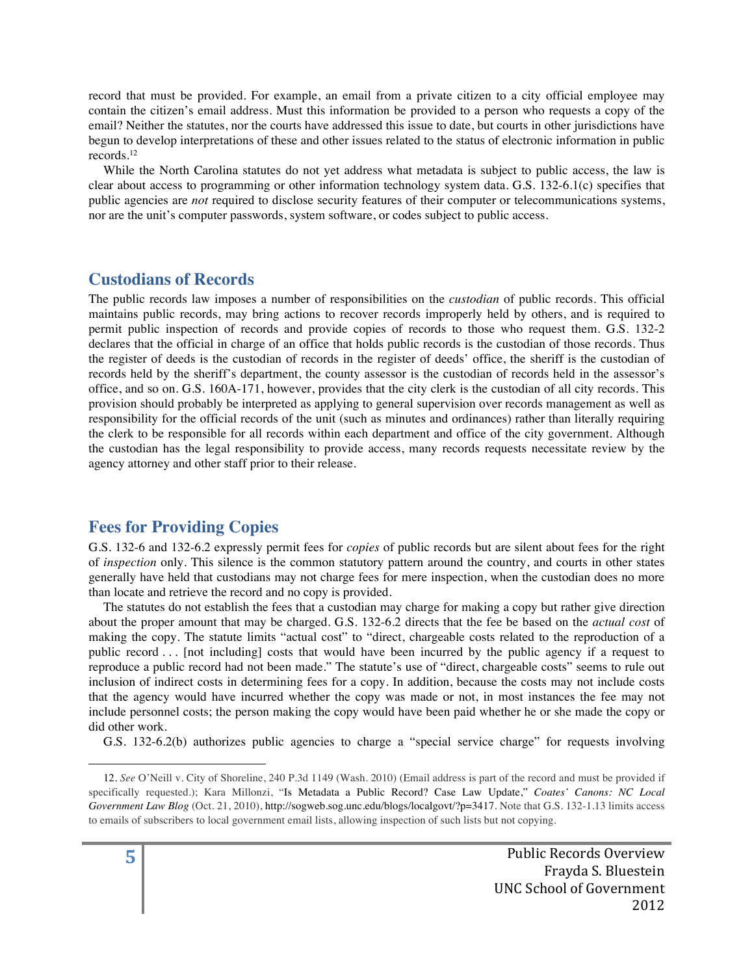record that must be provided. For example, an email from a private citizen to a city official employee may contain the citizen's email address. Must this information be provided to a person who requests a copy of the email? Neither the statutes, nor the courts have addressed this issue to date, but courts in other jurisdictions have begun to develop interpretations of these and other issues related to the status of electronic information in public records.12

While the North Carolina statutes do not yet address what metadata is subject to public access, the law is clear about access to programming or other information technology system data. G.S. 132-6.1(c) specifies that public agencies are *not* required to disclose security features of their computer or telecommunications systems, nor are the unit's computer passwords, system software, or codes subject to public access.

## **Custodians of Records**

The public records law imposes a number of responsibilities on the *custodian* of public records. This official maintains public records, may bring actions to recover records improperly held by others, and is required to permit public inspection of records and provide copies of records to those who request them. G.S. 132-2 declares that the official in charge of an office that holds public records is the custodian of those records. Thus the register of deeds is the custodian of records in the register of deeds' office, the sheriff is the custodian of records held by the sheriff's department, the county assessor is the custodian of records held in the assessor's office, and so on. G.S. 160A-171, however, provides that the city clerk is the custodian of all city records. This provision should probably be interpreted as applying to general supervision over records management as well as responsibility for the official records of the unit (such as minutes and ordinances) rather than literally requiring the clerk to be responsible for all records within each department and office of the city government. Although the custodian has the legal responsibility to provide access, many records requests necessitate review by the agency attorney and other staff prior to their release.

## **Fees for Providing Copies**

 

G.S. 132-6 and 132-6.2 expressly permit fees for *copies* of public records but are silent about fees for the right of *inspection* only. This silence is the common statutory pattern around the country, and courts in other states generally have held that custodians may not charge fees for mere inspection, when the custodian does no more than locate and retrieve the record and no copy is provided.

The statutes do not establish the fees that a custodian may charge for making a copy but rather give direction about the proper amount that may be charged. G.S. 132-6.2 directs that the fee be based on the *actual cost* of making the copy. The statute limits "actual cost" to "direct, chargeable costs related to the reproduction of a public record . . . [not including] costs that would have been incurred by the public agency if a request to reproduce a public record had not been made." The statute's use of "direct, chargeable costs" seems to rule out inclusion of indirect costs in determining fees for a copy. In addition, because the costs may not include costs that the agency would have incurred whether the copy was made or not, in most instances the fee may not include personnel costs; the person making the copy would have been paid whether he or she made the copy or did other work.

G.S. 132-6.2(b) authorizes public agencies to charge a "special service charge" for requests involving

<sup>12.</sup> *See* O'Neill v. City of Shoreline, 240 P.3d 1149 (Wash. 2010) (Email address is part of the record and must be provided if specifically requested.); Kara Millonzi, "Is Metadata a Public Record? Case Law Update," *Coates' Canons: NC Local Government Law Blog* (Oct. 21, 2010), http://sogweb.sog.unc.edu/blogs/localgovt/?p=3417. Note that G.S. 132-1.13 limits access to emails of subscribers to local government email lists, allowing inspection of such lists but not copying.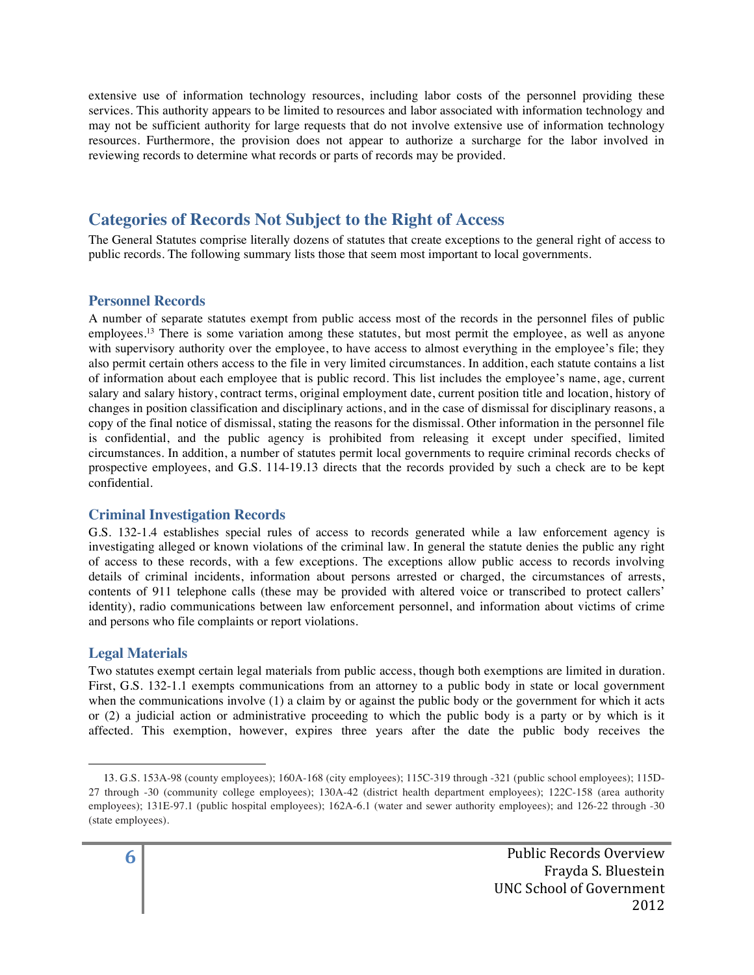extensive use of information technology resources, including labor costs of the personnel providing these services. This authority appears to be limited to resources and labor associated with information technology and may not be sufficient authority for large requests that do not involve extensive use of information technology resources. Furthermore, the provision does not appear to authorize a surcharge for the labor involved in reviewing records to determine what records or parts of records may be provided.

# **Categories of Records Not Subject to the Right of Access**

The General Statutes comprise literally dozens of statutes that create exceptions to the general right of access to public records. The following summary lists those that seem most important to local governments.

## **Personnel Records**

A number of separate statutes exempt from public access most of the records in the personnel files of public employees.<sup>13</sup> There is some variation among these statutes, but most permit the employee, as well as anyone with supervisory authority over the employee, to have access to almost everything in the employee's file; they also permit certain others access to the file in very limited circumstances. In addition, each statute contains a list of information about each employee that is public record. This list includes the employee's name, age, current salary and salary history, contract terms, original employment date, current position title and location, history of changes in position classification and disciplinary actions, and in the case of dismissal for disciplinary reasons, a copy of the final notice of dismissal, stating the reasons for the dismissal. Other information in the personnel file is confidential, and the public agency is prohibited from releasing it except under specified, limited circumstances. In addition, a number of statutes permit local governments to require criminal records checks of prospective employees, and G.S. 114-19.13 directs that the records provided by such a check are to be kept confidential.

## **Criminal Investigation Records**

 

G.S. 132-1.4 establishes special rules of access to records generated while a law enforcement agency is investigating alleged or known violations of the criminal law. In general the statute denies the public any right of access to these records, with a few exceptions. The exceptions allow public access to records involving details of criminal incidents, information about persons arrested or charged, the circumstances of arrests, contents of 911 telephone calls (these may be provided with altered voice or transcribed to protect callers' identity), radio communications between law enforcement personnel, and information about victims of crime and persons who file complaints or report violations.

## **Legal Materials**

Two statutes exempt certain legal materials from public access, though both exemptions are limited in duration. First, G.S. 132-1.1 exempts communications from an attorney to a public body in state or local government when the communications involve (1) a claim by or against the public body or the government for which it acts or (2) a judicial action or administrative proceeding to which the public body is a party or by which is it affected. This exemption, however, expires three years after the date the public body receives the

<sup>13.</sup> G.S. 153A-98 (county employees); 160A-168 (city employees); 115C-319 through -321 (public school employees); 115D-27 through -30 (community college employees); 130A-42 (district health department employees); 122C-158 (area authority employees); 131E-97.1 (public hospital employees); 162A-6.1 (water and sewer authority employees); and 126-22 through -30 (state employees).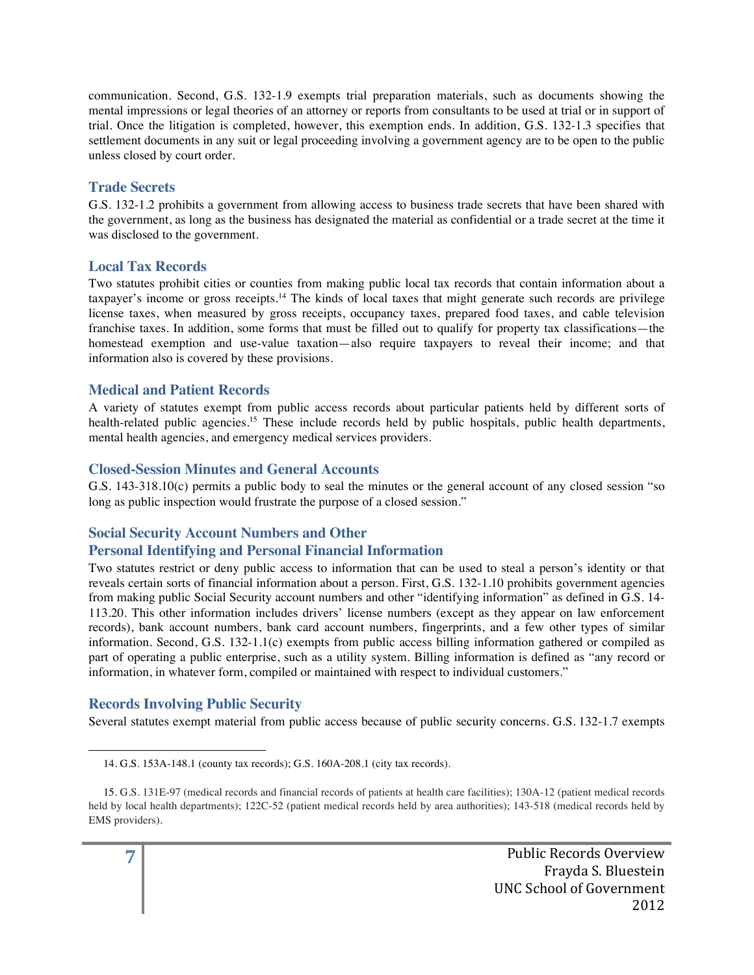communication. Second, G.S. 132-1.9 exempts trial preparation materials, such as documents showing the mental impressions or legal theories of an attorney or reports from consultants to be used at trial or in support of trial. Once the litigation is completed, however, this exemption ends. In addition, G.S. 132-1.3 specifies that settlement documents in any suit or legal proceeding involving a government agency are to be open to the public unless closed by court order.

## **Trade Secrets**

G.S. 132-1.2 prohibits a government from allowing access to business trade secrets that have been shared with the government, as long as the business has designated the material as confidential or a trade secret at the time it was disclosed to the government.

## **Local Tax Records**

Two statutes prohibit cities or counties from making public local tax records that contain information about a taxpayer's income or gross receipts.14 The kinds of local taxes that might generate such records are privilege license taxes, when measured by gross receipts, occupancy taxes, prepared food taxes, and cable television franchise taxes. In addition, some forms that must be filled out to qualify for property tax classifications—the homestead exemption and use-value taxation—also require taxpayers to reveal their income; and that information also is covered by these provisions.

## **Medical and Patient Records**

A variety of statutes exempt from public access records about particular patients held by different sorts of health-related public agencies.<sup>15</sup> These include records held by public hospitals, public health departments, mental health agencies, and emergency medical services providers.

## **Closed-Session Minutes and General Accounts**

G.S. 143-318.10(c) permits a public body to seal the minutes or the general account of any closed session "so long as public inspection would frustrate the purpose of a closed session."

## **Social Security Account Numbers and Other Personal Identifying and Personal Financial Information**

Two statutes restrict or deny public access to information that can be used to steal a person's identity or that reveals certain sorts of financial information about a person. First, G.S. 132-1.10 prohibits government agencies from making public Social Security account numbers and other "identifying information" as defined in G.S. 14- 113.20. This other information includes drivers' license numbers (except as they appear on law enforcement records), bank account numbers, bank card account numbers, fingerprints, and a few other types of similar information. Second, G.S. 132-1.1(c) exempts from public access billing information gathered or compiled as part of operating a public enterprise, such as a utility system. Billing information is defined as "any record or information, in whatever form, compiled or maintained with respect to individual customers."

## **Records Involving Public Security**

 

Several statutes exempt material from public access because of public security concerns. G.S. 132-1.7 exempts

<sup>14.</sup> G.S. 153A-148.1 (county tax records); G.S. 160A-208.1 (city tax records).

<sup>15.</sup> G.S. 131E-97 (medical records and financial records of patients at health care facilities); 130A-12 (patient medical records held by local health departments); 122C-52 (patient medical records held by area authorities); 143-518 (medical records held by EMS providers).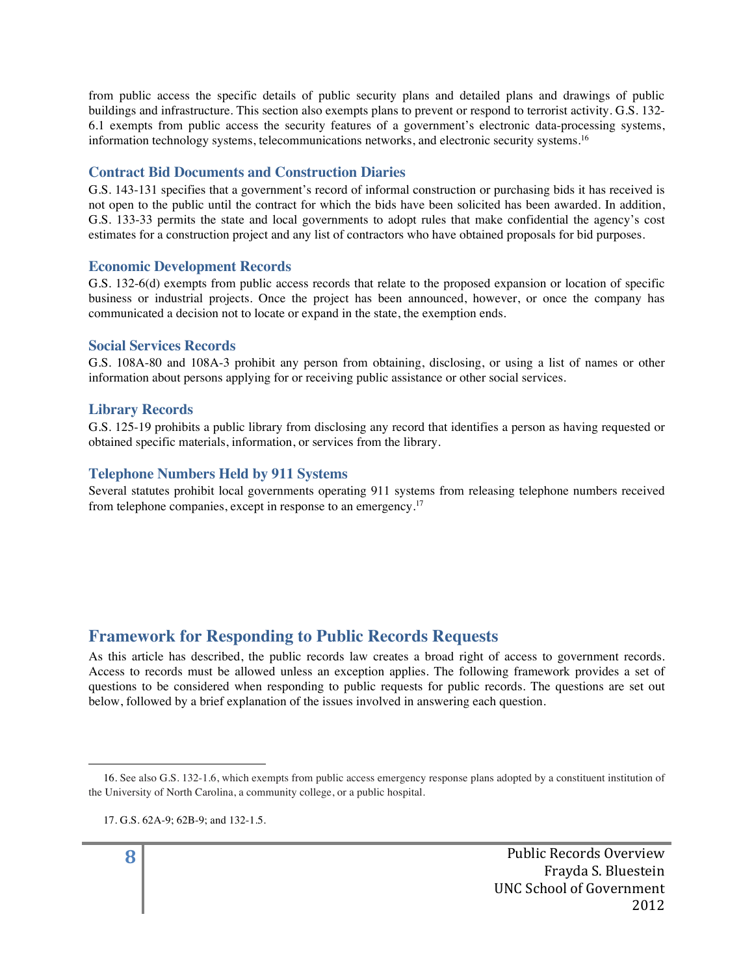from public access the specific details of public security plans and detailed plans and drawings of public buildings and infrastructure. This section also exempts plans to prevent or respond to terrorist activity. G.S. 132- 6.1 exempts from public access the security features of a government's electronic data-processing systems, information technology systems, telecommunications networks, and electronic security systems.<sup>16</sup>

### **Contract Bid Documents and Construction Diaries**

G.S. 143-131 specifies that a government's record of informal construction or purchasing bids it has received is not open to the public until the contract for which the bids have been solicited has been awarded. In addition, G.S. 133-33 permits the state and local governments to adopt rules that make confidential the agency's cost estimates for a construction project and any list of contractors who have obtained proposals for bid purposes.

#### **Economic Development Records**

G.S. 132-6(d) exempts from public access records that relate to the proposed expansion or location of specific business or industrial projects. Once the project has been announced, however, or once the company has communicated a decision not to locate or expand in the state, the exemption ends.

#### **Social Services Records**

G.S. 108A-80 and 108A-3 prohibit any person from obtaining, disclosing, or using a list of names or other information about persons applying for or receiving public assistance or other social services.

#### **Library Records**

G.S. 125-19 prohibits a public library from disclosing any record that identifies a person as having requested or obtained specific materials, information, or services from the library.

#### **Telephone Numbers Held by 911 Systems**

Several statutes prohibit local governments operating 911 systems from releasing telephone numbers received from telephone companies, except in response to an emergency.17

# **Framework for Responding to Public Records Requests**

As this article has described, the public records law creates a broad right of access to government records. Access to records must be allowed unless an exception applies. The following framework provides a set of questions to be considered when responding to public requests for public records. The questions are set out below, followed by a brief explanation of the issues involved in answering each question.

 

<sup>16.</sup> See also G.S. 132-1.6, which exempts from public access emergency response plans adopted by a constituent institution of the University of North Carolina, a community college, or a public hospital.

<sup>17.</sup> G.S. 62A-9; 62B-9; and 132-1.5.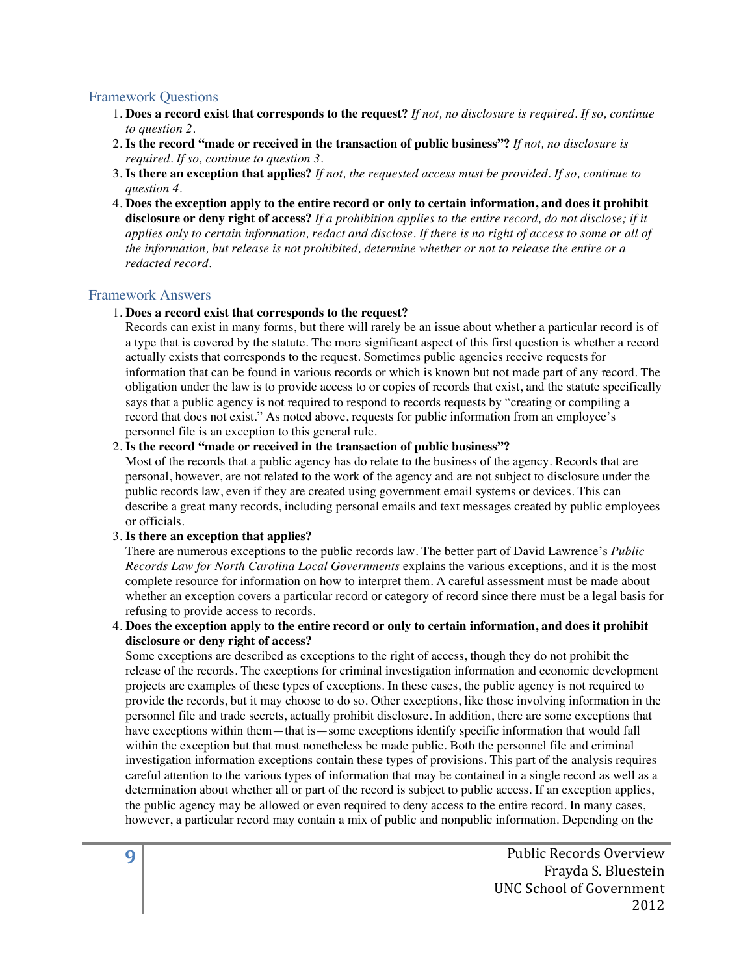#### Framework Questions

- 1. **Does a record exist that corresponds to the request?** *If not, no disclosure is required. If so, continue to question 2.*
- 2. **Is the record "made or received in the transaction of public business"?** *If not, no disclosure is required. If so, continue to question 3*.
- 3. **Is there an exception that applies?** *If not, the requested access must be provided. If so, continue to question 4.*
- 4. **Does the exception apply to the entire record or only to certain information, and does it prohibit disclosure or deny right of access?** *If a prohibition applies to the entire record, do not disclose; if it applies only to certain information, redact and disclose. If there is no right of access to some or all of the information, but release is not prohibited, determine whether or not to release the entire or a redacted record*.

#### Framework Answers

#### 1. **Does a record exist that corresponds to the request?**

Records can exist in many forms, but there will rarely be an issue about whether a particular record is of a type that is covered by the statute. The more significant aspect of this first question is whether a record actually exists that corresponds to the request. Sometimes public agencies receive requests for information that can be found in various records or which is known but not made part of any record. The obligation under the law is to provide access to or copies of records that exist, and the statute specifically says that a public agency is not required to respond to records requests by "creating or compiling a record that does not exist." As noted above, requests for public information from an employee's personnel file is an exception to this general rule.

#### 2. **Is the record "made or received in the transaction of public business"?**

Most of the records that a public agency has do relate to the business of the agency. Records that are personal, however, are not related to the work of the agency and are not subject to disclosure under the public records law, even if they are created using government email systems or devices. This can describe a great many records, including personal emails and text messages created by public employees or officials.

#### 3. **Is there an exception that applies?**

There are numerous exceptions to the public records law. The better part of David Lawrence's *Public Records Law for North Carolina Local Governments* explains the various exceptions, and it is the most complete resource for information on how to interpret them. A careful assessment must be made about whether an exception covers a particular record or category of record since there must be a legal basis for refusing to provide access to records.

#### 4. **Does the exception apply to the entire record or only to certain information, and does it prohibit disclosure or deny right of access?**

Some exceptions are described as exceptions to the right of access, though they do not prohibit the release of the records. The exceptions for criminal investigation information and economic development projects are examples of these types of exceptions. In these cases, the public agency is not required to provide the records, but it may choose to do so. Other exceptions, like those involving information in the personnel file and trade secrets, actually prohibit disclosure. In addition, there are some exceptions that have exceptions within them—that is—some exceptions identify specific information that would fall within the exception but that must nonetheless be made public. Both the personnel file and criminal investigation information exceptions contain these types of provisions. This part of the analysis requires careful attention to the various types of information that may be contained in a single record as well as a determination about whether all or part of the record is subject to public access. If an exception applies, the public agency may be allowed or even required to deny access to the entire record. In many cases, however, a particular record may contain a mix of public and nonpublic information. Depending on the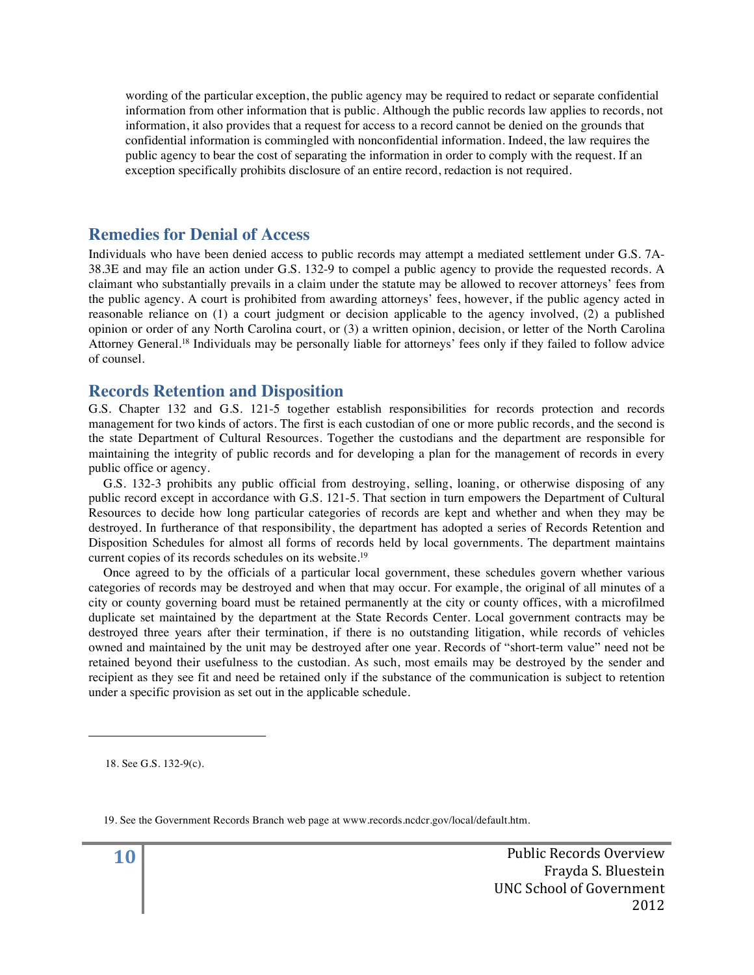wording of the particular exception, the public agency may be required to redact or separate confidential information from other information that is public. Although the public records law applies to records, not information, it also provides that a request for access to a record cannot be denied on the grounds that confidential information is commingled with nonconfidential information. Indeed, the law requires the public agency to bear the cost of separating the information in order to comply with the request. If an exception specifically prohibits disclosure of an entire record, redaction is not required.

## **Remedies for Denial of Access**

Individuals who have been denied access to public records may attempt a mediated settlement under G.S. 7A-38.3E and may file an action under G.S. 132-9 to compel a public agency to provide the requested records. A claimant who substantially prevails in a claim under the statute may be allowed to recover attorneys' fees from the public agency. A court is prohibited from awarding attorneys' fees, however, if the public agency acted in reasonable reliance on (1) a court judgment or decision applicable to the agency involved, (2) a published opinion or order of any North Carolina court, or (3) a written opinion, decision, or letter of the North Carolina Attorney General.18 Individuals may be personally liable for attorneys' fees only if they failed to follow advice of counsel.

## **Records Retention and Disposition**

G.S. Chapter 132 and G.S. 121-5 together establish responsibilities for records protection and records management for two kinds of actors. The first is each custodian of one or more public records, and the second is the state Department of Cultural Resources. Together the custodians and the department are responsible for maintaining the integrity of public records and for developing a plan for the management of records in every public office or agency.

G.S. 132-3 prohibits any public official from destroying, selling, loaning, or otherwise disposing of any public record except in accordance with G.S. 121-5. That section in turn empowers the Department of Cultural Resources to decide how long particular categories of records are kept and whether and when they may be destroyed. In furtherance of that responsibility, the department has adopted a series of Records Retention and Disposition Schedules for almost all forms of records held by local governments. The department maintains current copies of its records schedules on its website.19

Once agreed to by the officials of a particular local government, these schedules govern whether various categories of records may be destroyed and when that may occur. For example, the original of all minutes of a city or county governing board must be retained permanently at the city or county offices, with a microfilmed duplicate set maintained by the department at the State Records Center. Local government contracts may be destroyed three years after their termination, if there is no outstanding litigation, while records of vehicles owned and maintained by the unit may be destroyed after one year. Records of "short-term value" need not be retained beyond their usefulness to the custodian. As such, most emails may be destroyed by the sender and recipient as they see fit and need be retained only if the substance of the communication is subject to retention under a specific provision as set out in the applicable schedule.

18. See G.S. 132-9(c).

 

19. See the Government Records Branch web page at www.records.ncdcr.gov/local/default.htm.

**10** Public Records Overview Frayda S. Bluestein UNC School of Government 2012